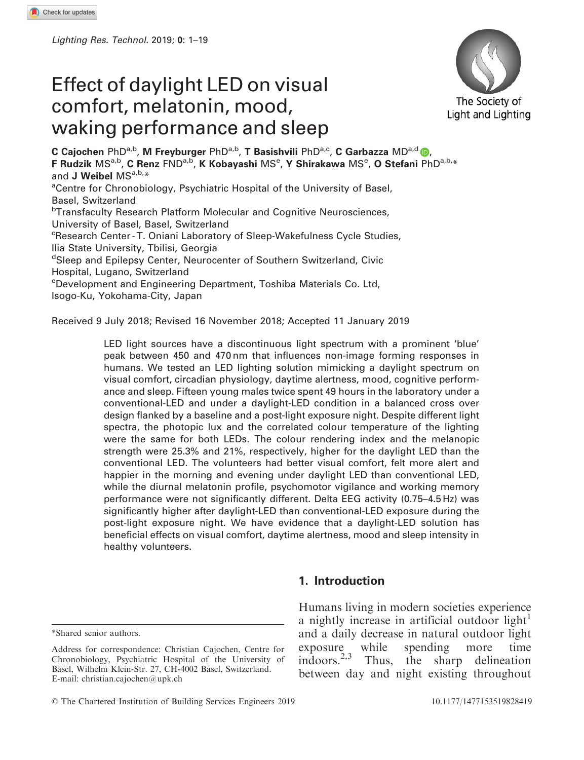Lighting Res. Technol. 2019; 0: 1–19

# Effect of daylight LED on visual comfort, melatonin, mood, waking performance and sleep



C Cajochen PhD<sup>a,b</sup>, M Freyburger PhD<sup>a,b</sup>, T Basishvili PhD<sup>a,c</sup>, C Garbazza MD<sup>a,d</sup>  $\bullet$ , F Rudzik MS<sup>a,b</sup>, C Renz FND<sup>a,b</sup>, K Kobayashi MS<sup>e</sup>, Y Shirakawa MS<sup>e</sup>, O Stefani PhD<sup>a,b,</sup>\* and J Weibel MSa,b,\* <sup>a</sup>Centre for Chronobiology, Psychiatric Hospital of the University of Basel, Basel, Switzerland <sup>b</sup>Transfaculty Research Platform Molecular and Cognitive Neurosciences, University of Basel, Basel, Switzerland <sup>c</sup>Research Center-T. Oniani Laboratory of Sleep-Wakefulness Cycle Studies, Ilia State University, Tbilisi, Georgia d Sleep and Epilepsy Center, Neurocenter of Southern Switzerland, Civic Hospital, Lugano, Switzerland e Development and Engineering Department, Toshiba Materials Co. Ltd, Isogo-Ku, Yokohama-City, Japan

Received 9 July 2018; Revised 16 November 2018; Accepted 11 January 2019

LED light sources have a discontinuous light spectrum with a prominent 'blue' peak between 450 and 470 nm that influences non-image forming responses in humans. We tested an LED lighting solution mimicking a daylight spectrum on visual comfort, circadian physiology, daytime alertness, mood, cognitive performance and sleep. Fifteen young males twice spent 49 hours in the laboratory under a conventional-LED and under a daylight-LED condition in a balanced cross over design flanked by a baseline and a post-light exposure night. Despite different light spectra, the photopic lux and the correlated colour temperature of the lighting were the same for both LEDs. The colour rendering index and the melanopic strength were 25.3% and 21%, respectively, higher for the daylight LED than the conventional LED. The volunteers had better visual comfort, felt more alert and happier in the morning and evening under daylight LED than conventional LED, while the diurnal melatonin profile, psychomotor vigilance and working memory performance were not significantly different. Delta EEG activity (0.75–4.5 Hz) was significantly higher after daylight-LED than conventional-LED exposure during the post-light exposure night. We have evidence that a daylight-LED solution has beneficial effects on visual comfort, daytime alertness, mood and sleep intensity in healthy volunteers.

\*Shared senior authors.

## 1. Introduction

Humans living in modern societies experience a nightly increase in artificial outdoor light<sup>1</sup> and a daily decrease in natural outdoor light exposure while spending more time indoors.2,3 Thus, the sharp delineation between day and night existing throughout

Address for correspondence: Christian Cajochen, Centre for Chronobiology, Psychiatric Hospital of the University of Basel, Wilhelm Klein-Str. 27, CH-4002 Basel, Switzerland. E-mail: christian.cajochen@upk.ch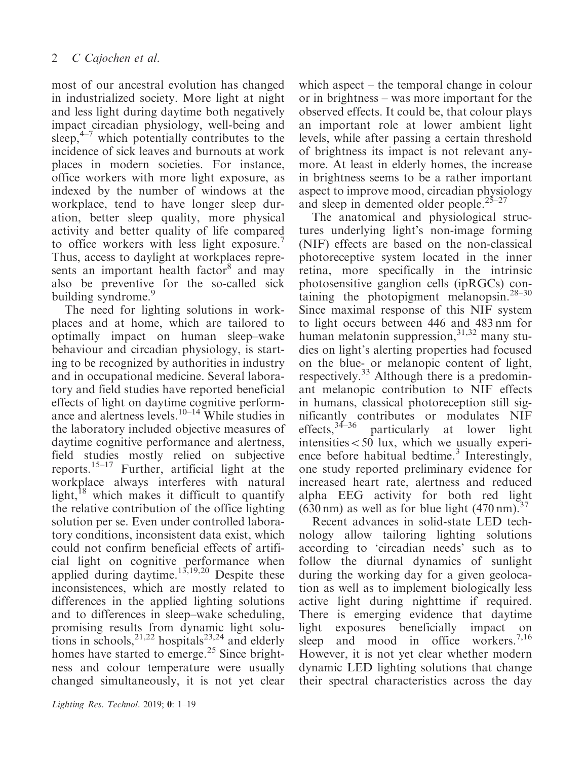most of our ancestral evolution has changed in industrialized society. More light at night and less light during daytime both negatively impact circadian physiology, well-being and sleep, $4\frac{1}{2}$  which potentially contributes to the incidence of sick leaves and burnouts at work places in modern societies. For instance, office workers with more light exposure, as indexed by the number of windows at the workplace, tend to have longer sleep duration, better sleep quality, more physical activity and better quality of life compared to office workers with less light exposure.<sup>7</sup> Thus, access to daylight at workplaces represents an important health factor<sup>8</sup> and may also be preventive for the so-called sick building syndrome.<sup>9</sup>

The need for lighting solutions in workplaces and at home, which are tailored to optimally impact on human sleep–wake behaviour and circadian physiology, is starting to be recognized by authorities in industry and in occupational medicine. Several laboratory and field studies have reported beneficial effects of light on daytime cognitive performance and alertness levels.<sup>10–14</sup> While studies in the laboratory included objective measures of daytime cognitive performance and alertness, field studies mostly relied on subjective reports.<sup>15–17</sup> Further, artificial light at the workplace always interferes with natural light, $18$  which makes it difficult to quantify the relative contribution of the office lighting solution per se. Even under controlled laboratory conditions, inconsistent data exist, which could not confirm beneficial effects of artificial light on cognitive performance when applied during daytime.<sup>13,19,20</sup> Despite these inconsistences, which are mostly related to differences in the applied lighting solutions and to differences in sleep–wake scheduling, promising results from dynamic light solutions in schools,  $2^{1,22}$  hospitals $2^{3,24}$  and elderly homes have started to emerge.<sup>25</sup> Since brightness and colour temperature were usually changed simultaneously, it is not yet clear

which aspect – the temporal change in colour or in brightness – was more important for the observed effects. It could be, that colour plays an important role at lower ambient light levels, while after passing a certain threshold of brightness its impact is not relevant anymore. At least in elderly homes, the increase in brightness seems to be a rather important aspect to improve mood, circadian physiology and sleep in demented older people. $25-27$ 

The anatomical and physiological structures underlying light's non-image forming (NIF) effects are based on the non-classical photoreceptive system located in the inner retina, more specifically in the intrinsic photosensitive ganglion cells (ipRGCs) containing the photopigment melanopsin.28–30 Since maximal response of this NIF system to light occurs between 446 and 483 nm for human melatonin suppression, $31,32$  many studies on light's alerting properties had focused on the blue- or melanopic content of light, respectively.<sup>33</sup> Although there is a predominant melanopic contribution to NIF effects in humans, classical photoreception still significantly contributes or modulates NIF effects,  $34-36$  particularly at lower light  $intensities < 50$  lux, which we usually experience before habitual bedtime.<sup>3</sup> Interestingly, one study reported preliminary evidence for increased heart rate, alertness and reduced alpha EEG activity for both red light  $(630 \text{ nm})$  as well as for blue light  $(470 \text{ nm})^{37}$ .

Recent advances in solid-state LED technology allow tailoring lighting solutions according to 'circadian needs' such as to follow the diurnal dynamics of sunlight during the working day for a given geolocation as well as to implement biologically less active light during nighttime if required. There is emerging evidence that daytime light exposures beneficially impact on sleep and mood in office workers.<sup>7,16</sup> However, it is not yet clear whether modern dynamic LED lighting solutions that change their spectral characteristics across the day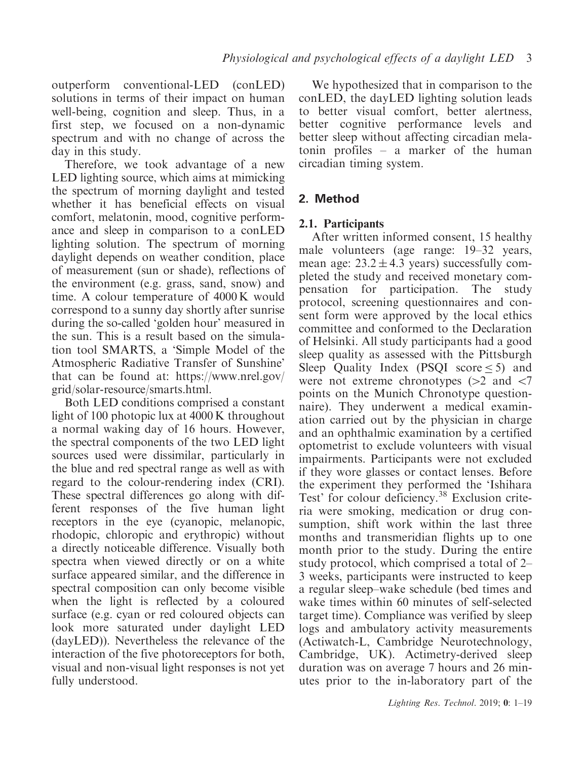outperform conventional-LED (conLED) solutions in terms of their impact on human well-being, cognition and sleep. Thus, in a first step, we focused on a non-dynamic spectrum and with no change of across the day in this study.

Therefore, we took advantage of a new LED lighting source, which aims at mimicking the spectrum of morning daylight and tested whether it has beneficial effects on visual comfort, melatonin, mood, cognitive performance and sleep in comparison to a conLED lighting solution. The spectrum of morning daylight depends on weather condition, place of measurement (sun or shade), reflections of the environment (e.g. grass, sand, snow) and time. A colour temperature of 4000 K would correspond to a sunny day shortly after sunrise during the so-called 'golden hour' measured in the sun. This is a result based on the simulation tool SMARTS, a 'Simple Model of the Atmospheric Radiative Transfer of Sunshine' that can be found at: [https://www.nrel.gov/](https://www.nrel.gov/grid/solar-resource/smarts.html) [grid/solar-resource/smarts.html.](https://www.nrel.gov/grid/solar-resource/smarts.html)

Both LED conditions comprised a constant light of 100 photopic lux at 4000 K throughout a normal waking day of 16 hours. However, the spectral components of the two LED light sources used were dissimilar, particularly in the blue and red spectral range as well as with regard to the colour-rendering index (CRI). These spectral differences go along with different responses of the five human light receptors in the eye (cyanopic, melanopic, rhodopic, chloropic and erythropic) without a directly noticeable difference. Visually both spectra when viewed directly or on a white surface appeared similar, and the difference in spectral composition can only become visible when the light is reflected by a coloured surface (e.g. cyan or red coloured objects can look more saturated under daylight LED (dayLED)). Nevertheless the relevance of the interaction of the five photoreceptors for both, visual and non-visual light responses is not yet fully understood.

We hypothesized that in comparison to the conLED, the dayLED lighting solution leads to better visual comfort, better alertness, better cognitive performance levels and better sleep without affecting circadian melatonin profiles – a marker of the human circadian timing system.

# 2. Method

## 2.1. Participants

After written informed consent, 15 healthy male volunteers (age range: 19–32 years, mean age:  $23.2 \pm 4.3$  years) successfully completed the study and received monetary compensation for participation. The study protocol, screening questionnaires and consent form were approved by the local ethics committee and conformed to the Declaration of Helsinki. All study participants had a good sleep quality as assessed with the Pittsburgh Sleep Quality Index (PSQI score  $\leq 5$ ) and were not extreme chronotypes  $(>2$  and  $<7$ points on the Munich Chronotype questionnaire). They underwent a medical examination carried out by the physician in charge and an ophthalmic examination by a certified optometrist to exclude volunteers with visual impairments. Participants were not excluded if they wore glasses or contact lenses. Before the experiment they performed the 'Ishihara Test' for colour deficiency.<sup>38</sup> Exclusion criteria were smoking, medication or drug consumption, shift work within the last three months and transmeridian flights up to one month prior to the study. During the entire study protocol, which comprised a total of 2– 3 weeks, participants were instructed to keep a regular sleep–wake schedule (bed times and wake times within 60 minutes of self-selected target time). Compliance was verified by sleep logs and ambulatory activity measurements (Actiwatch-L, Cambridge Neurotechnology, Cambridge, UK). Actimetry-derived sleep duration was on average 7 hours and 26 minutes prior to the in-laboratory part of the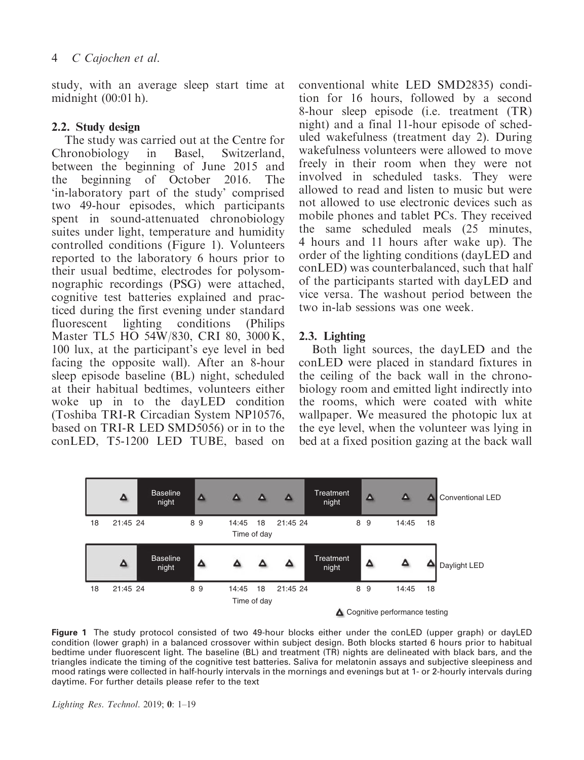study, with an average sleep start time at midnight (00:01 h).

#### 2.2. Study design

The study was carried out at the Centre for Chronobiology in Basel, Switzerland, between the beginning of June 2015 and the beginning of October 2016. The 'in-laboratory part of the study' comprised two 49-hour episodes, which participants spent in sound-attenuated chronobiology suites under light, temperature and humidity controlled conditions (Figure 1). Volunteers reported to the laboratory 6 hours prior to their usual bedtime, electrodes for polysomnographic recordings (PSG) were attached, cognitive test batteries explained and practiced during the first evening under standard fluorescent lighting conditions (Philips Master TL5 HO 54W/830, CRI 80, 3000 K, 100 lux, at the participant's eye level in bed facing the opposite wall). After an 8-hour sleep episode baseline (BL) night, scheduled at their habitual bedtimes, volunteers either woke up in to the dayLED condition (Toshiba TRI-R Circadian System NP10576, based on TRI-R LED SMD5056) or in to the conLED, T5-1200 LED TUBE, based on

conventional white LED SMD2835) condition for 16 hours, followed by a second 8-hour sleep episode (i.e. treatment (TR) night) and a final 11-hour episode of scheduled wakefulness (treatment day 2). During wakefulness volunteers were allowed to move freely in their room when they were not involved in scheduled tasks. They were allowed to read and listen to music but were not allowed to use electronic devices such as mobile phones and tablet PCs. They received the same scheduled meals (25 minutes, 4 hours and 11 hours after wake up). The order of the lighting conditions (dayLED and conLED) was counterbalanced, such that half of the participants started with dayLED and vice versa. The washout period between the two in-lab sessions was one week.

## 2.3. Lighting

Both light sources, the dayLED and the conLED were placed in standard fixtures in the ceiling of the back wall in the chronobiology room and emitted light indirectly into the rooms, which were coated with white wallpaper. We measured the photopic lux at the eye level, when the volunteer was lying in bed at a fixed position gazing at the back wall



Figure 1 The study protocol consisted of two 49-hour blocks either under the conLED (upper graph) or dayLED condition (lower graph) in a balanced crossover within subject design. Both blocks started 6 hours prior to habitual bedtime under fluorescent light. The baseline (BL) and treatment (TR) nights are delineated with black bars, and the triangles indicate the timing of the cognitive test batteries. Saliva for melatonin assays and subjective sleepiness and mood ratings were collected in half-hourly intervals in the mornings and evenings but at 1- or 2-hourly intervals during daytime. For further details please refer to the text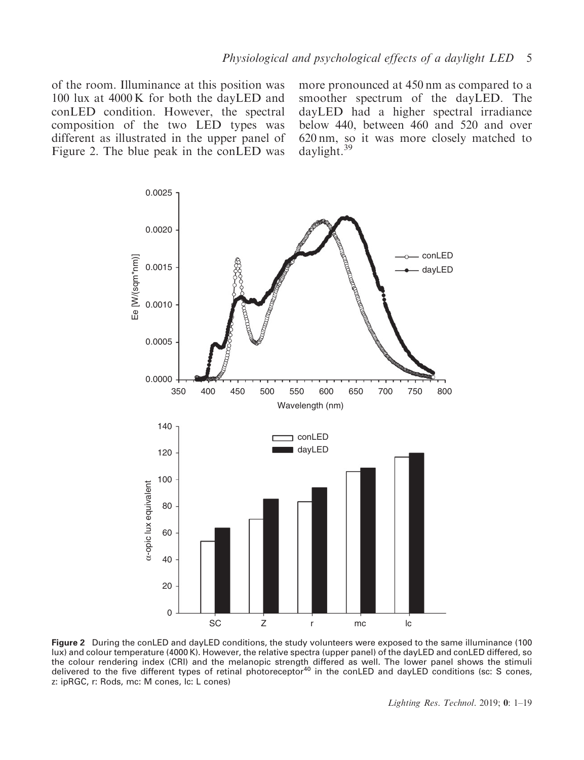of the room. Illuminance at this position was 100 lux at 4000 K for both the dayLED and conLED condition. However, the spectral composition of the two LED types was different as illustrated in the upper panel of Figure 2. The blue peak in the conLED was more pronounced at 450 nm as compared to a smoother spectrum of the dayLED. The dayLED had a higher spectral irradiance below 440, between 460 and 520 and over 620 nm, so it was more closely matched to daylight.<sup>39</sup>



Figure 2 During the conLED and dayLED conditions, the study volunteers were exposed to the same illuminance (100 lux) and colour temperature (4000 K). However, the relative spectra (upper panel) of the dayLED and conLED differed, so the colour rendering index (CRI) and the melanopic strength differed as well. The lower panel shows the stimuli<br>delivered to the five different types of retinal photoreceptor<sup>40</sup> in the conLED and dayLED conditions (sc: S z: ipRGC, r: Rods, mc: M cones, lc: L cones)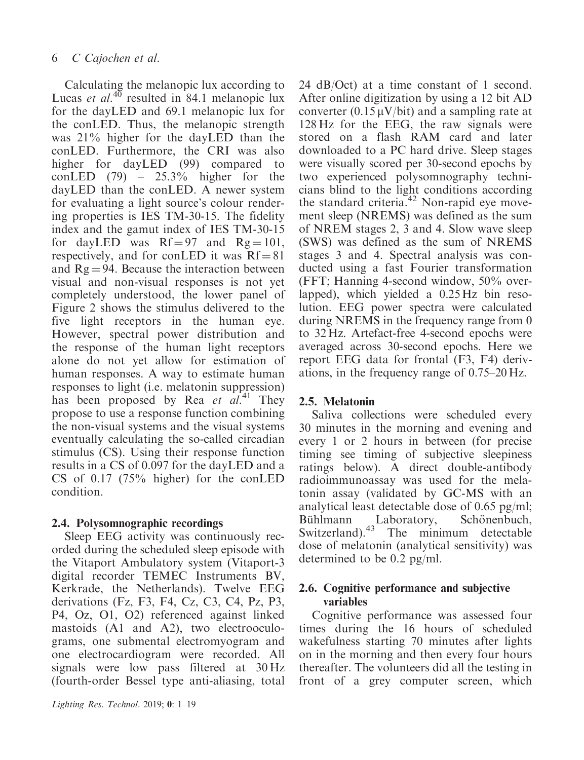Calculating the melanopic lux according to Lucas et  $al^{40}$  resulted in 84.1 melanopic lux for the dayLED and 69.1 melanopic lux for the conLED. Thus, the melanopic strength was 21% higher for the dayLED than the conLED. Furthermore, the CRI was also higher for dayLED (99) compared to conLED  $(79)$  – 25.3% higher for the dayLED than the conLED. A newer system for evaluating a light source's colour rendering properties is IES TM-30-15. The fidelity index and the gamut index of IES TM-30-15 for dayLED was  $Rf = 97$  and  $Rg = 101$ , respectively, and for conLED it was  $Rf = 81$ and  $Rg = 94$ . Because the interaction between visual and non-visual responses is not yet completely understood, the lower panel of Figure 2 shows the stimulus delivered to the five light receptors in the human eye. However, spectral power distribution and the response of the human light receptors alone do not yet allow for estimation of human responses. A way to estimate human responses to light (i.e. melatonin suppression) has been proposed by Rea et al.<sup>41</sup> They propose to use a response function combining the non-visual systems and the visual systems eventually calculating the so-called circadian stimulus (CS). Using their response function results in a CS of 0.097 for the dayLED and a CS of 0.17 (75% higher) for the conLED condition.

# 2.4. Polysomnographic recordings

Sleep EEG activity was continuously recorded during the scheduled sleep episode with the Vitaport Ambulatory system (Vitaport-3 digital recorder TEMEC Instruments BV, Kerkrade, the Netherlands). Twelve EEG derivations (Fz, F3, F4, Cz, C3, C4, Pz, P3, P4, Oz, O1, O2) referenced against linked mastoids (A1 and A2), two electrooculograms, one submental electromyogram and one electrocardiogram were recorded. All signals were low pass filtered at 30 Hz (fourth-order Bessel type anti-aliasing, total

24 dB/Oct) at a time constant of 1 second. After online digitization by using a 12 bit AD converter  $(0.15 \mu V/bit)$  and a sampling rate at 128 Hz for the EEG, the raw signals were stored on a flash RAM card and later downloaded to a PC hard drive. Sleep stages were visually scored per 30-second epochs by two experienced polysomnography technicians blind to the light conditions according the standard criteria.<sup>42</sup> Non-rapid eye movement sleep (NREMS) was defined as the sum of NREM stages 2, 3 and 4. Slow wave sleep (SWS) was defined as the sum of NREMS stages 3 and 4. Spectral analysis was conducted using a fast Fourier transformation (FFT; Hanning 4-second window, 50% overlapped), which yielded a 0.25 Hz bin resolution. EEG power spectra were calculated during NREMS in the frequency range from 0 to 32 Hz. Artefact-free 4-second epochs were averaged across 30-second epochs. Here we report EEG data for frontal (F3, F4) derivations, in the frequency range of 0.75–20 Hz.

# 2.5. Melatonin

Saliva collections were scheduled every 30 minutes in the morning and evening and every 1 or 2 hours in between (for precise timing see timing of subjective sleepiness ratings below). A direct double-antibody radioimmunoassay was used for the melatonin assay (validated by GC-MS with an analytical least detectable dose of 0.65 pg/ml; Bühlmann Laboratory, Schönenbuch, Switzerland).<sup>43</sup> The minimum detectable dose of melatonin (analytical sensitivity) was determined to be 0.2 pg/ml.

# 2.6. Cognitive performance and subjective variables

Cognitive performance was assessed four times during the 16 hours of scheduled wakefulness starting 70 minutes after lights on in the morning and then every four hours thereafter. The volunteers did all the testing in front of a grey computer screen, which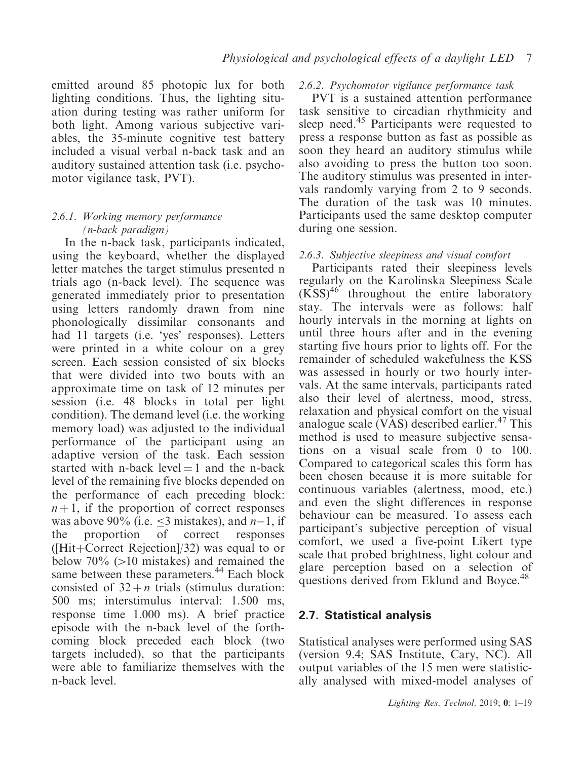emitted around 85 photopic lux for both lighting conditions. Thus, the lighting situation during testing was rather uniform for both light. Among various subjective variables, the 35-minute cognitive test battery included a visual verbal n-back task and an auditory sustained attention task (i.e. psychomotor vigilance task, PVT).

#### 2.6.1. Working memory performance (n-back paradigm)

In the n-back task, participants indicated, using the keyboard, whether the displayed letter matches the target stimulus presented n trials ago (n-back level). The sequence was generated immediately prior to presentation using letters randomly drawn from nine phonologically dissimilar consonants and had 11 targets (i.e. 'yes' responses). Letters were printed in a white colour on a grey screen. Each session consisted of six blocks that were divided into two bouts with an approximate time on task of 12 minutes per session (i.e. 48 blocks in total per light condition). The demand level (i.e. the working memory load) was adjusted to the individual performance of the participant using an adaptive version of the task. Each session started with n-back level  $=$  1 and the n-back level of the remaining five blocks depended on the performance of each preceding block:  $n+1$ , if the proportion of correct responses was above 90% (i.e.  $\leq$ 3 mistakes), and n-1, if the proportion of correct responses ( $[Hit+Correct Rejection]/32$ ) was equal to or below  $70\%$  ( $>10$  mistakes) and remained the same between these parameters.<sup>44</sup> Each block consisted of  $32 + n$  trials (stimulus duration: 500 ms; interstimulus interval: 1.500 ms, response time 1.000 ms). A brief practice episode with the n-back level of the forthcoming block preceded each block (two targets included), so that the participants were able to familiarize themselves with the n-back level.

#### 2.6.2. Psychomotor vigilance performance task

PVT is a sustained attention performance task sensitive to circadian rhythmicity and sleep need.<sup>45</sup> Participants were requested to press a response button as fast as possible as soon they heard an auditory stimulus while also avoiding to press the button too soon. The auditory stimulus was presented in intervals randomly varying from 2 to 9 seconds. The duration of the task was 10 minutes. Participants used the same desktop computer during one session.

#### 2.6.3. Subjective sleepiness and visual comfort

Participants rated their sleepiness levels regularly on the Karolinska Sleepiness Scale  $(KSS)^{46}$  throughout the entire laboratory stay. The intervals were as follows: half hourly intervals in the morning at lights on until three hours after and in the evening starting five hours prior to lights off. For the remainder of scheduled wakefulness the KSS was assessed in hourly or two hourly intervals. At the same intervals, participants rated also their level of alertness, mood, stress, relaxation and physical comfort on the visual analogue scale  $(VAS)$  described earlier.<sup>47</sup> This method is used to measure subjective sensations on a visual scale from 0 to 100. Compared to categorical scales this form has been chosen because it is more suitable for continuous variables (alertness, mood, etc.) and even the slight differences in response behaviour can be measured. To assess each participant's subjective perception of visual comfort, we used a five-point Likert type scale that probed brightness, light colour and glare perception based on a selection of questions derived from Eklund and Boyce.<sup>48</sup>

## 2.7. Statistical analysis

Statistical analyses were performed using SAS (version 9.4; SAS Institute, Cary, NC). All output variables of the 15 men were statistically analysed with mixed-model analyses of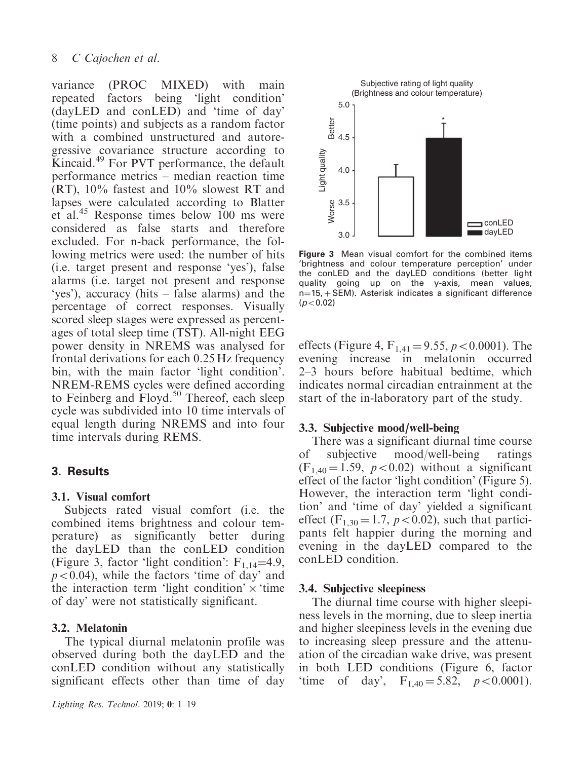variance (PROC MIXED) with main repeated factors being 'light condition' (dayLED and conLED) and 'time of day' (time points) and subjects as a random factor with a combined unstructured and autoregressive covariance structure according to Kincaid.<sup>49</sup> For PVT performance, the default performance metrics – median reaction time (RT), 10% fastest and 10% slowest RT and lapses were calculated according to Blatter et al.45 Response times below 100 ms were considered as false starts and therefore excluded. For n-back performance, the following metrics were used: the number of hits (i.e. target present and response 'yes'), false alarms (i.e. target not present and response 'yes'), accuracy (hits – false alarms) and the percentage of correct responses. Visually scored sleep stages were expressed as percentages of total sleep time (TST). All-night EEG power density in NREMS was analysed for frontal derivations for each 0.25 Hz frequency bin, with the main factor 'light condition'. NREM-REMS cycles were defined according to Feinberg and Floyd.<sup>50</sup> Thereof, each sleep cycle was subdivided into 10 time intervals of equal length during NREMS and into four time intervals during REMS.

## 3. Results

#### 3.1. Visual comfort

Subjects rated visual comfort (i.e. the combined items brightness and colour temperature) as significantly better during the dayLED than the conLED condition (Figure 3, factor 'light condition':  $F_{1,14} = 4.9$ ,  $p<0.04$ ), while the factors 'time of day' and the interaction term 'light condition'  $\times$  'time of day' were not statistically significant.

## 3.2. Melatonin

The typical diurnal melatonin profile was observed during both the dayLED and the conLED condition without any statistically significant effects other than time of day



Figure 3 Mean visual comfort for the combined items 'brightness and colour temperature perception' under the conLED and the dayLED conditions (better light quality going up on the y-axis, mean values,  $n=15, + SEM$ ). Asterisk indicates a significant difference  $(p<0.02)$ 

effects (Figure 4,  $F_{1,41} = 9.55$ ,  $p < 0.0001$ ). The evening increase in melatonin occurred 2–3 hours before habitual bedtime, which indicates normal circadian entrainment at the start of the in-laboratory part of the study.

#### 3.3. Subjective mood/well-being

There was a significant diurnal time course of subjective mood/well-being ratings  $(F_{1,40} = 1.59, p < 0.02)$  without a significant effect of the factor 'light condition' (Figure 5). However, the interaction term 'light condition' and 'time of day' yielded a significant effect (F<sub>1,30</sub> = 1.7,  $p<0.02$ ), such that participants felt happier during the morning and evening in the dayLED compared to the conLED condition.

#### 3.4. Subjective sleepiness

The diurnal time course with higher sleepiness levels in the morning, due to sleep inertia and higher sleepiness levels in the evening due to increasing sleep pressure and the attenuation of the circadian wake drive, was present in both LED conditions (Figure 6, factor 'time of day',  $F_{1,40} = 5.82$ ,  $p < 0.0001$ ).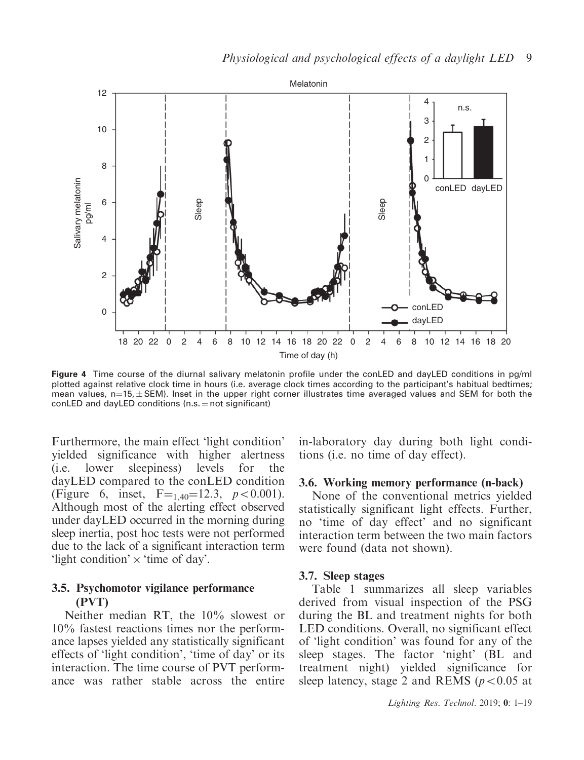

Figure 4 Time course of the diurnal salivary melatonin profile under the conLED and dayLED conditions in pg/ml plotted against relative clock time in hours (i.e. average clock times according to the participant's habitual bedtimes; mean values, n $=$ 15, $\pm$  SEM). Inset in the upper right corner illustrates time averaged values and SEM for both the conLED and dayLED conditions  $(n.s. = not significant)$ 

Furthermore, the main effect 'light condition' yielded significance with higher alertness (i.e. lower sleepiness) levels for the dayLED compared to the conLED condition (Figure 6, inset,  $F = 140 = 12.3$ ,  $p < 0.001$ ). Although most of the alerting effect observed under dayLED occurred in the morning during sleep inertia, post hoc tests were not performed due to the lack of a significant interaction term 'light condition'  $\times$  'time of day'.

## 3.5. Psychomotor vigilance performance (PVT)

Neither median RT, the 10% slowest or 10% fastest reactions times nor the performance lapses yielded any statistically significant effects of 'light condition', 'time of day' or its interaction. The time course of PVT performance was rather stable across the entire in-laboratory day during both light conditions (i.e. no time of day effect).

#### 3.6. Working memory performance (n-back)

None of the conventional metrics yielded statistically significant light effects. Further, no 'time of day effect' and no significant interaction term between the two main factors were found (data not shown).

#### 3.7. Sleep stages

Table 1 summarizes all sleep variables derived from visual inspection of the PSG during the BL and treatment nights for both LED conditions. Overall, no significant effect of 'light condition' was found for any of the sleep stages. The factor 'night' (BL and treatment night) yielded significance for sleep latency, stage 2 and REMS ( $p<0.05$  at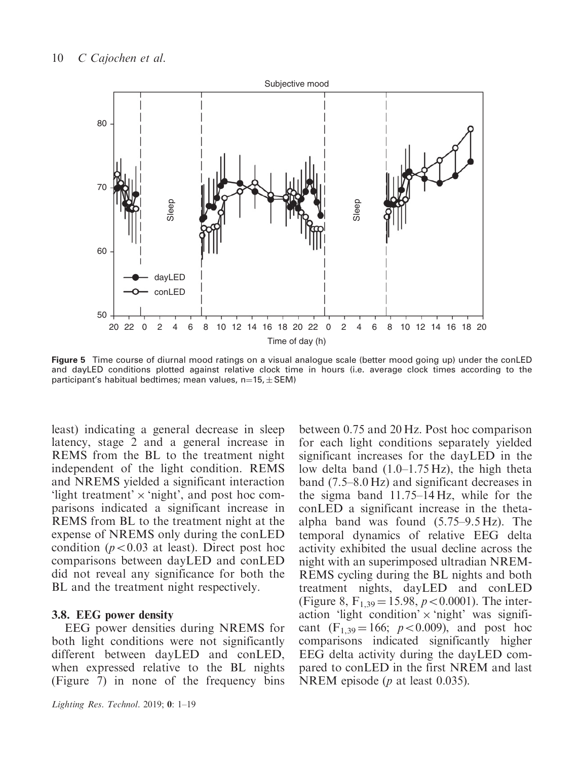

Figure 5 Time course of diurnal mood ratings on a visual analogue scale (better mood going up) under the conLED and dayLED conditions plotted against relative clock time in hours (i.e. average clock times according to the participant's habitual bedtimes; mean values, n=15,  $\pm$  SEM)

least) indicating a general decrease in sleep latency, stage 2 and a general increase in REMS from the BL to the treatment night independent of the light condition. REMS and NREMS yielded a significant interaction 'light treatment'  $\times$  'night', and post hoc comparisons indicated a significant increase in REMS from BL to the treatment night at the expense of NREMS only during the conLED condition ( $p<0.03$  at least). Direct post hoc comparisons between dayLED and conLED did not reveal any significance for both the BL and the treatment night respectively.

#### 3.8. EEG power density

EEG power densities during NREMS for both light conditions were not significantly different between dayLED and conLED, when expressed relative to the BL nights (Figure 7) in none of the frequency bins between 0.75 and 20 Hz. Post hoc comparison for each light conditions separately yielded significant increases for the dayLED in the low delta band (1.0–1.75 Hz), the high theta band (7.5–8.0 Hz) and significant decreases in the sigma band 11.75–14 Hz, while for the conLED a significant increase in the thetaalpha band was found (5.75–9.5 Hz). The temporal dynamics of relative EEG delta activity exhibited the usual decline across the night with an superimposed ultradian NREM-REMS cycling during the BL nights and both treatment nights, dayLED and conLED (Figure 8,  $F_{1,39} = 15.98, p < 0.0001$ ). The interaction 'light condition'  $\times$  'night' was significant  $(F_{1,39} = 166; p < 0.009)$ , and post hoc comparisons indicated significantly higher EEG delta activity during the dayLED compared to conLED in the first NREM and last NREM episode (*p* at least 0.035).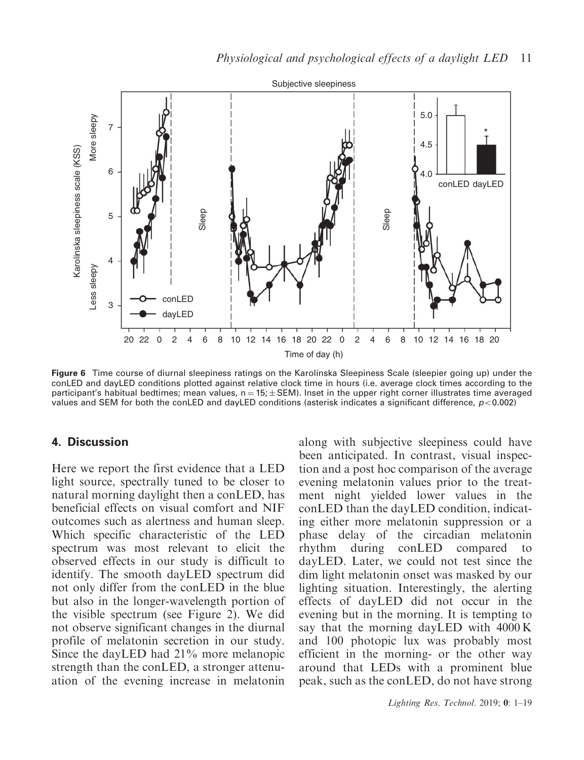

Figure 6 Time course of diurnal sleepiness ratings on the Karolinska Sleepiness Scale (sleepier going up) under the conLED and dayLED conditions plotted against relative clock time in hours (i.e. average clock times according to the participant's habitual bedtimes; mean values, n  $=$  15;  $\pm$  SEM). Inset in the upper right corner illustrates time averaged values and SEM for both the conLED and dayLED conditions (asterisk indicates a significant difference,  $p<0.002$ )

#### 4. Discussion

Here we report the first evidence that a LED light source, spectrally tuned to be closer to natural morning daylight then a conLED, has beneficial effects on visual comfort and NIF outcomes such as alertness and human sleep. Which specific characteristic of the LED spectrum was most relevant to elicit the observed effects in our study is difficult to identify. The smooth dayLED spectrum did not only differ from the conLED in the blue but also in the longer-wavelength portion of the visible spectrum (see Figure 2). We did not observe significant changes in the diurnal profile of melatonin secretion in our study. Since the dayLED had 21% more melanopic strength than the conLED, a stronger attenuation of the evening increase in melatonin

along with subjective sleepiness could have been anticipated. In contrast, visual inspection and a post hoc comparison of the average evening melatonin values prior to the treatment night yielded lower values in the conLED than the dayLED condition, indicating either more melatonin suppression or a phase delay of the circadian melatonin rhythm during conLED compared to dayLED. Later, we could not test since the dim light melatonin onset was masked by our lighting situation. Interestingly, the alerting effects of dayLED did not occur in the evening but in the morning. It is tempting to say that the morning dayLED with 4000 K and 100 photopic lux was probably most efficient in the morning- or the other way around that LEDs with a prominent blue peak, such as the conLED, do not have strong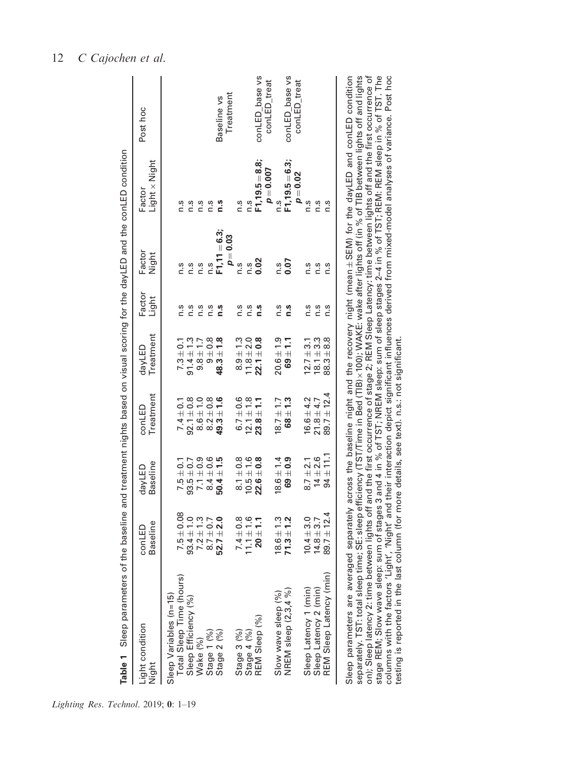| Table 1 Sleep parameters of                                                                                                              |                            |                    |                     |                     |                 |                 | the baseline and treatment nights based on visual scoring for the dayLED and the conLED condition |                |
|------------------------------------------------------------------------------------------------------------------------------------------|----------------------------|--------------------|---------------------|---------------------|-----------------|-----------------|---------------------------------------------------------------------------------------------------|----------------|
| Light condition<br>Night                                                                                                                 | Baseline<br>conLED         | Baseline<br>dayLED | Treatment<br>conLED | Treatment<br>dayLED | Factor<br>Light | Factor<br>Night | $Light \times Night$<br>Factor                                                                    | Post hoc       |
| Sleep Variables (n=15)                                                                                                                   |                            |                    |                     |                     |                 |                 |                                                                                                   |                |
| Total Sleep Time (hours)                                                                                                                 | $7.5 \pm 0.08$             | $7.5 \pm 0.1$      | $7.4 \pm 0.1$       | $7.3 \pm 0.1$       | n.s             | n.s             | n.s                                                                                               |                |
|                                                                                                                                          | $93.4 \pm 1.0$             | $93.5 + 0.7$       | $92.1 \pm 0.8$      | $91.4 \pm 1.3$      | $\frac{3}{1}$   | n.s             | n.s                                                                                               |                |
|                                                                                                                                          |                            | $7.1 \pm 0.9$      | $8.6 \pm 1.0$       | $9.8 \pm 1.7$       | $\frac{3}{1}$   | n.s             | n.s                                                                                               |                |
|                                                                                                                                          | $7.2 \pm 1.3$<br>8.7 ± 0.7 | $8.4 \pm 0.6$      | $8.2 + 0.8$         | $9\pm0.8$           | n.s             | n.s             | n.s                                                                                               |                |
| Sleep Efficiency (%)<br>Wake (%)<br>Stage 1 (%)<br>Stage 2 (%)                                                                           | $52.7 \pm 2.0$             | $50.4 \pm 1.5$     | $49.3 \pm 1.6$      | $48.3 \pm 1.8$      | n.s             | $F1, 11 = 6.3$  | n.s                                                                                               | Baseline vs    |
|                                                                                                                                          |                            |                    |                     |                     |                 | $p = 0.03$      |                                                                                                   | Treatment      |
| Stage 3 (%)                                                                                                                              | $7.4 \pm 0.8$              | $8.1 \pm 0.8$      | $6.7 \pm 0.6$       | $8.9 + 1.3$         | n.s             | $\frac{3}{1}$   | n.s                                                                                               |                |
|                                                                                                                                          | $11.1 \pm 1.6$             | $10.5 \pm 1.6$     | $12.1 \pm 1.8$      | $11.8 \pm 2.0$      | n.s             | n.S             | n.s                                                                                               |                |
| Stage 4 (%)<br>REM Sleep (%)                                                                                                             | $20 \pm 1.1$               | $22.6 \pm 0.8$     | $23.8 \pm 1.1$      | $22.1 \pm 0.8$      | n.s             | 0.02            | $F1,19.5 = 8.8$                                                                                   | conLED base vs |
|                                                                                                                                          |                            |                    |                     |                     |                 |                 | $p = 0.007$                                                                                       | conLED_treat   |
| Slow wave sleep (%)                                                                                                                      | $18.6 \pm 1.3$             | $8.6 \pm 1.4$      | $8.7 \pm 1.7$       | $20.6 \pm 1.9$      | n.s             | n.s             | n.s                                                                                               |                |
| NREM sleep (2,3,4 %)                                                                                                                     | $71.3 \pm 1.2$             | $69\pm0.9$         | $68 \pm 1.3$        | $69 + 1.1$          | n.s             | 0.07            | $F1,19.5 = 6.3$                                                                                   | conLED base vs |
|                                                                                                                                          |                            |                    |                     |                     |                 |                 | $p = 0.02$                                                                                        | conLED_treat   |
|                                                                                                                                          | $10.4 + 3.0$               | $8.7 \pm 2.1$      | $16.6 \pm 4.2$      | $12.7 \pm 3.1$      | n.s             | n.s             | n.s                                                                                               |                |
|                                                                                                                                          | $14.8 + 3.7$               | $14 + 2.6$         | $21.8 \pm 4.7$      | $18.1 \pm 3.3$      | n.s             | n.s             | n.s                                                                                               |                |
| Sleep Latency 1 (min)<br>Sleep Latency 2 (min)<br>REM Sleep Latency (min)                                                                | $89.7 \pm 12.4$            | $94 \pm 11.1$      | $89.7 \pm 12.4$     | $88.3 + 8.8$        | n.s             | n.s             | n.s                                                                                               |                |
| Sleep parameters are averaged separately across the baseline night and the recovery night (mean±SEM) for the dayLED and conLED condition |                            |                    |                     |                     |                 |                 |                                                                                                   |                |

| testing is reported in the last column (for more details, see text). n.s.: not significant. |                                                                                                                                                                                                                                                                                                              |                                                                                                                                                            |                                                                                                                                                       |
|---------------------------------------------------------------------------------------------|--------------------------------------------------------------------------------------------------------------------------------------------------------------------------------------------------------------------------------------------------------------------------------------------------------------|------------------------------------------------------------------------------------------------------------------------------------------------------------|-------------------------------------------------------------------------------------------------------------------------------------------------------|
|                                                                                             | on); Sleep latency 2: time between lights off and the first occurrence of stage 2; REM Sleep Latency: time between lights off and the first occurrence of<br>stage REM; Slow wave sleep: sum of stages 3 and 4 in % of TST; NREM sleep: sum of sleep stages 2–4 in % of TST; REM: REM sleep in % of TST. The | eparately. TST: total sleep time; SE: sleep efficiency (TST/Time in Bed (TIB)×100); WAKE: wake after lights off (in % of TIB between lights off and lights | columns with the factors 'Light', 'Night' and their interaction depict significant influences derived from mixed-model analyses of variance. Post hoc |
|                                                                                             |                                                                                                                                                                                                                                                                                                              |                                                                                                                                                            |                                                                                                                                                       |
|                                                                                             |                                                                                                                                                                                                                                                                                                              |                                                                                                                                                            |                                                                                                                                                       |
|                                                                                             | Sleep parameters are averaged separately across the baseline night and the recovery night (mean±SEM) for the dayLED and conLED condition                                                                                                                                                                     |                                                                                                                                                            |                                                                                                                                                       |

# 12 C Cajochen et al.

Lighting Res. Technol. 2019; 0: 1–19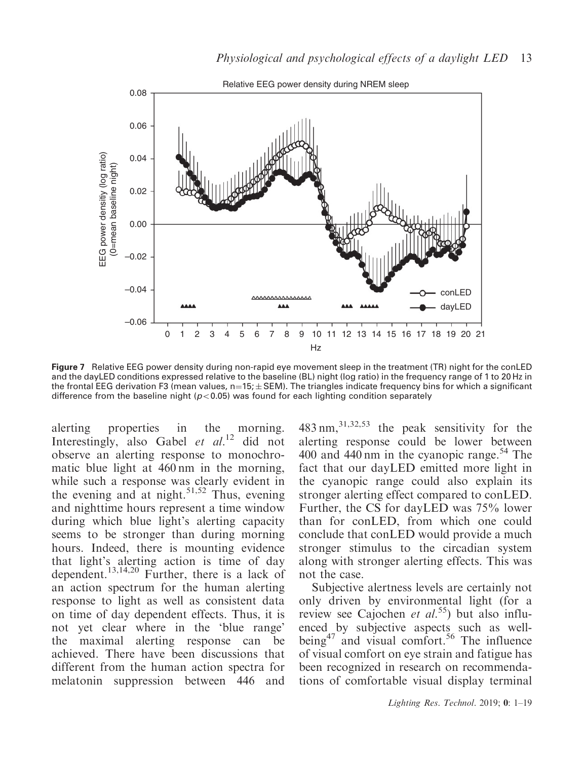

Figure 7 Relative EEG power density during non-rapid eye movement sleep in the treatment (TR) night for the conLED and the dayLED conditions expressed relative to the baseline (BL) night (log ratio) in the frequency range of 1 to 20 Hz in the frontal EEG derivation F3 (mean values, n $=$ 15; $\pm$  SEM). The triangles indicate frequency bins for which a significant difference from the baseline night ( $p<0.05$ ) was found for each lighting condition separately

alerting properties in the morning. Interestingly, also Gabel et  $al.^{12}$  did not observe an alerting response to monochromatic blue light at 460 nm in the morning, while such a response was clearly evident in the evening and at night.<sup>51,52</sup> Thus, evening and nighttime hours represent a time window during which blue light's alerting capacity seems to be stronger than during morning hours. Indeed, there is mounting evidence that light's alerting action is time of day dependent.13,14,20 Further, there is a lack of an action spectrum for the human alerting response to light as well as consistent data on time of day dependent effects. Thus, it is not yet clear where in the 'blue range' the maximal alerting response can be achieved. There have been discussions that different from the human action spectra for melatonin suppression between 446 and 483 nm,31,32,53 the peak sensitivity for the alerting response could be lower between 400 and 440 nm in the cyanopic range.<sup>54</sup> The fact that our dayLED emitted more light in the cyanopic range could also explain its stronger alerting effect compared to conLED. Further, the CS for dayLED was 75% lower than for conLED, from which one could conclude that conLED would provide a much stronger stimulus to the circadian system along with stronger alerting effects. This was not the case.

Subjective alertness levels are certainly not only driven by environmental light (for a review see Cajochen et  $al^{55}$ ) but also influenced by subjective aspects such as wellbeing<sup>47</sup> and visual comfort.<sup>56</sup> The influence of visual comfort on eye strain and fatigue has been recognized in research on recommendations of comfortable visual display terminal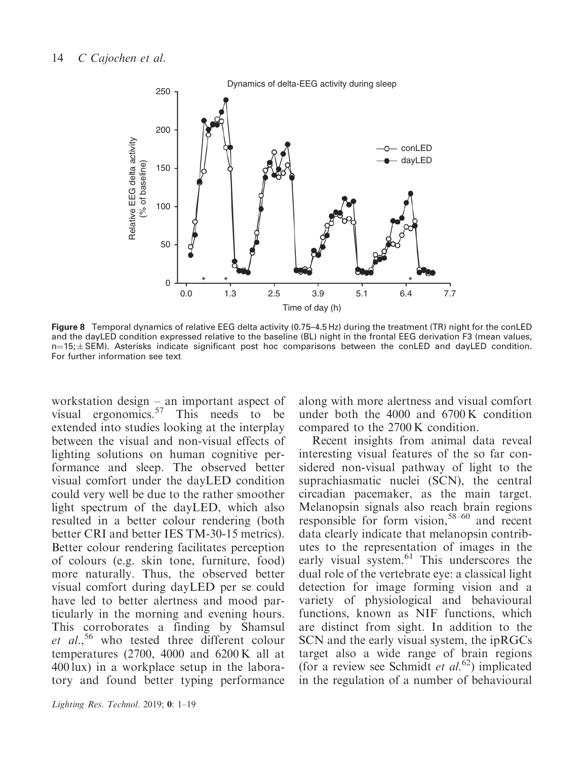

Figure 8 Temporal dynamics of relative EEG delta activity (0.75–4.5 Hz) during the treatment (TR) night for the conLED and the dayLED condition expressed relative to the baseline (BL) night in the frontal EEG derivation F3 (mean values, n=15;±SEM). Asterisks indicate significant post hoc comparisons between the conLED and dayLED condition. For further information see text

workstation design – an important aspect of visual ergonomics. $57$  This needs to be extended into studies looking at the interplay between the visual and non-visual effects of lighting solutions on human cognitive performance and sleep. The observed better visual comfort under the dayLED condition could very well be due to the rather smoother light spectrum of the dayLED, which also resulted in a better colour rendering (both better CRI and better IES TM-30-15 metrics). Better colour rendering facilitates perception of colours (e.g. skin tone, furniture, food) more naturally. Thus, the observed better visual comfort during dayLED per se could have led to better alertness and mood particularly in the morning and evening hours. This corroborates a finding by Shamsul et  $al.$ <sup>56</sup> who tested three different colour temperatures (2700, 4000 and 6200 K all at 400 lux) in a workplace setup in the laboratory and found better typing performance along with more alertness and visual comfort under both the 4000 and 6700 K condition compared to the 2700 K condition.

Recent insights from animal data reveal interesting visual features of the so far considered non-visual pathway of light to the suprachiasmatic nuclei (SCN), the central circadian pacemaker, as the main target. Melanopsin signals also reach brain regions responsible for form vision,  $58-60$  and recent data clearly indicate that melanopsin contributes to the representation of images in the early visual system.<sup>61</sup> This underscores the dual role of the vertebrate eye: a classical light detection for image forming vision and a variety of physiological and behavioural functions, known as NIF functions, which are distinct from sight. In addition to the SCN and the early visual system, the ipRGCs target also a wide range of brain regions (for a review see Schmidt et  $al$ .<sup>62</sup>) implicated in the regulation of a number of behavioural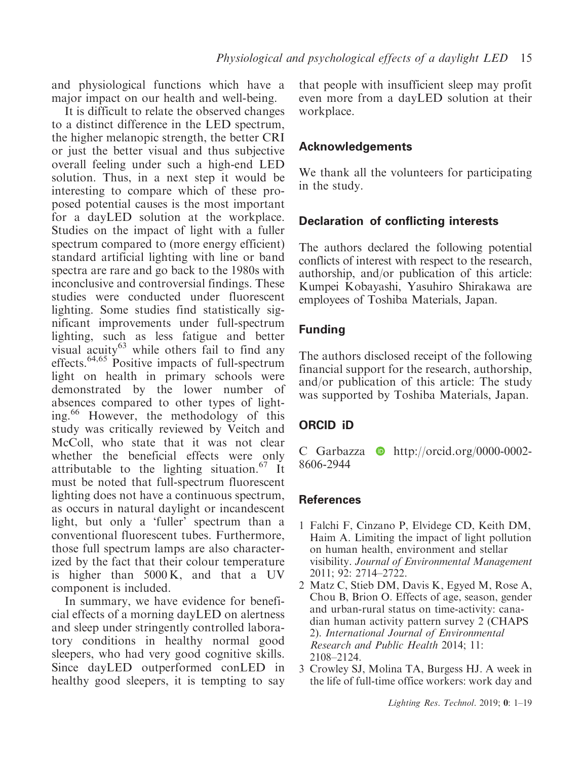and physiological functions which have a major impact on our health and well-being.

It is difficult to relate the observed changes to a distinct difference in the LED spectrum, the higher melanopic strength, the better CRI or just the better visual and thus subjective overall feeling under such a high-end LED solution. Thus, in a next step it would be interesting to compare which of these proposed potential causes is the most important for a dayLED solution at the workplace. Studies on the impact of light with a fuller spectrum compared to (more energy efficient) standard artificial lighting with line or band spectra are rare and go back to the 1980s with inconclusive and controversial findings. These studies were conducted under fluorescent lighting. Some studies find statistically significant improvements under full-spectrum lighting, such as less fatigue and better visual  $acuity^{63}$  while others fail to find any effects.64,65 Positive impacts of full-spectrum light on health in primary schools were demonstrated by the lower number of absences compared to other types of lighting.<sup>66</sup> However, the methodology of this study was critically reviewed by Veitch and McColl, who state that it was not clear whether the beneficial effects were only attributable to the lighting situation.<sup>67</sup> It must be noted that full-spectrum fluorescent lighting does not have a continuous spectrum, as occurs in natural daylight or incandescent light, but only a 'fuller' spectrum than a conventional fluorescent tubes. Furthermore, those full spectrum lamps are also characterized by the fact that their colour temperature is higher than 5000 K, and that a UV component is included.

In summary, we have evidence for beneficial effects of a morning dayLED on alertness and sleep under stringently controlled laboratory conditions in healthy normal good sleepers, who had very good cognitive skills. Since dayLED outperformed conLED in healthy good sleepers, it is tempting to say

that people with insufficient sleep may profit even more from a dayLED solution at their workplace.

# Acknowledgements

We thank all the volunteers for participating in the study.

## Declaration of conflicting interests

The authors declared the following potential conflicts of interest with respect to the research, authorship, and/or publication of this article: Kumpei Kobayashi, Yasuhiro Shirakawa are employees of Toshiba Materials, Japan.

# Funding

The authors disclosed receipt of the following financial support for the research, authorship, and/or publication of this article: The study was supported by Toshiba Materials, Japan.

# ORCID iD

C Garbazza  $\bullet$  [http://orcid.org/0000-0002-](http://orcid.org/0000-0002-8606-2944) [8606-2944](http://orcid.org/0000-0002-8606-2944)

# References

- 1 Falchi F, Cinzano P, Elvidege CD, Keith DM, Haim A. Limiting the impact of light pollution on human health, environment and stellar visibility. Journal of Environmental Management 2011; 92: 2714–2722.
- 2 Matz C, Stieb DM, Davis K, Egyed M, Rose A, Chou B, Brion O. Effects of age, season, gender and urban-rural status on time-activity: canadian human activity pattern survey 2 (CHAPS 2). International Journal of Environmental Research and Public Health 2014; 11: 2108–2124.
- 3 Crowley SJ, Molina TA, Burgess HJ. A week in the life of full-time office workers: work day and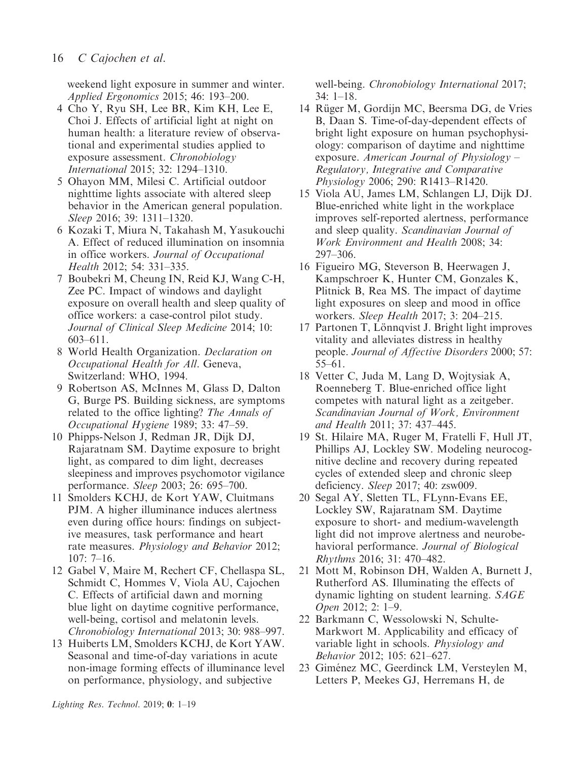weekend light exposure in summer and winter. Applied Ergonomics 2015; 46: 193–200.

- 4 Cho Y, Ryu SH, Lee BR, Kim KH, Lee E, Choi J. Effects of artificial light at night on human health: a literature review of observational and experimental studies applied to exposure assessment. Chronobiology International 2015; 32: 1294–1310.
- 5 Ohayon MM, Milesi C. Artificial outdoor nighttime lights associate with altered sleep behavior in the American general population. Sleep 2016; 39: 1311–1320.
- 6 Kozaki T, Miura N, Takahash M, Yasukouchi A. Effect of reduced illumination on insomnia in office workers. Journal of Occupational Health 2012; 54: 331–335.
- 7 Boubekri M, Cheung IN, Reid KJ, Wang C-H, Zee PC. Impact of windows and daylight exposure on overall health and sleep quality of office workers: a case-control pilot study. Journal of Clinical Sleep Medicine 2014; 10: 603–611.
- 8 World Health Organization. Declaration on Occupational Health for All. Geneva, Switzerland: WHO, 1994.
- 9 Robertson AS, McInnes M, Glass D, Dalton G, Burge PS. Building sickness, are symptoms related to the office lighting? The Annals of Occupational Hygiene 1989; 33: 47–59.
- 10 Phipps-Nelson J, Redman JR, Dijk DJ, Rajaratnam SM. Daytime exposure to bright light, as compared to dim light, decreases sleepiness and improves psychomotor vigilance performance. Sleep 2003; 26: 695–700.
- 11 Smolders KCHJ, de Kort YAW, Cluitmans PJM. A higher illuminance induces alertness even during office hours: findings on subjective measures, task performance and heart rate measures. Physiology and Behavior 2012; 107: 7–16.
- 12 Gabel V, Maire M, Rechert CF, Chellaspa SL, Schmidt C, Hommes V, Viola AU, Cajochen C. Effects of artificial dawn and morning blue light on daytime cognitive performance, well-being, cortisol and melatonin levels. Chronobiology International 2013; 30: 988–997.
- 13 Huiberts LM, Smolders KCHJ, de Kort YAW. Seasonal and time-of-day variations in acute non-image forming effects of illuminance level on performance, physiology, and subjective

well-being. Chronobiology International 2017; 34: 1–18.

- 14 Rüger M, Gordijn MC, Beersma DG, de Vries B, Daan S. Time-of-day-dependent effects of bright light exposure on human psychophysiology: comparison of daytime and nighttime exposure. American Journal of Physiology  $-$ Regulatory, Integrative and Comparative Physiology 2006; 290: R1413–R1420.
- 15 Viola AU, James LM, Schlangen LJ, Dijk DJ. Blue-enriched white light in the workplace improves self-reported alertness, performance and sleep quality. Scandinavian Journal of Work Environment and Health 2008; 34: 297–306.
- 16 Figueiro MG, Steverson B, Heerwagen J, Kampschroer K, Hunter CM, Gonzales K, Plitnick B, Rea MS. The impact of daytime light exposures on sleep and mood in office workers. Sleep Health 2017; 3: 204–215.
- 17 Partonen T, Lönnqvist J. Bright light improves vitality and alleviates distress in healthy people. Journal of Affective Disorders 2000; 57: 55–61.
- 18 Vetter C, Juda M, Lang D, Wojtysiak A, Roenneberg T. Blue-enriched office light competes with natural light as a zeitgeber. Scandinavian Journal of Work, Environment and Health 2011; 37: 437–445.
- 19 St. Hilaire MA, Ruger M, Fratelli F, Hull JT, Phillips AJ, Lockley SW. Modeling neurocognitive decline and recovery during repeated cycles of extended sleep and chronic sleep deficiency. Sleep 2017; 40: zsw009.
- 20 Segal AY, Sletten TL, FLynn-Evans EE, Lockley SW, Rajaratnam SM. Daytime exposure to short- and medium-wavelength light did not improve alertness and neurobehavioral performance. Journal of Biological Rhythms 2016; 31: 470–482.
- 21 Mott M, Robinson DH, Walden A, Burnett J, Rutherford AS. Illuminating the effects of dynamic lighting on student learning. SAGE Open 2012; 2: 1–9.
- 22 Barkmann C, Wessolowski N, Schulte-Markwort M. Applicability and efficacy of variable light in schools. Physiology and Behavior 2012; 105: 621–627.
- 23 Giménez MC, Geerdinck LM, Versteylen M, Letters P, Meekes GJ, Herremans H, de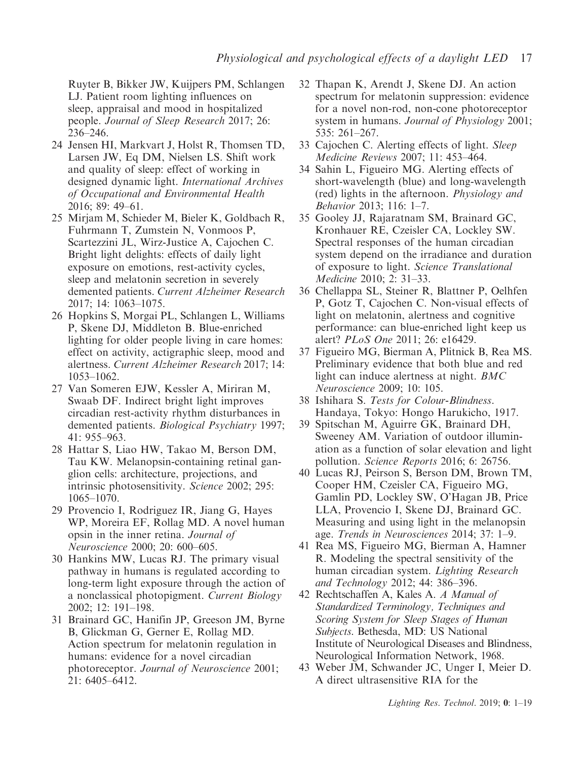Ruyter B, Bikker JW, Kuijpers PM, Schlangen LJ. Patient room lighting influences on sleep, appraisal and mood in hospitalized people. Journal of Sleep Research 2017; 26: 236–246.

- 24 Jensen HI, Markvart J, Holst R, Thomsen TD, Larsen JW, Eq DM, Nielsen LS. Shift work and quality of sleep: effect of working in designed dynamic light. International Archives of Occupational and Environmental Health 2016; 89: 49–61.
- 25 Mirjam M, Schieder M, Bieler K, Goldbach R, Fuhrmann T, Zumstein N, Vonmoos P, Scartezzini JL, Wirz-Justice A, Cajochen C. Bright light delights: effects of daily light exposure on emotions, rest-activity cycles, sleep and melatonin secretion in severely demented patients. Current Alzheimer Research 2017; 14: 1063–1075.
- 26 Hopkins S, Morgai PL, Schlangen L, Williams P, Skene DJ, Middleton B. Blue-enriched lighting for older people living in care homes: effect on activity, actigraphic sleep, mood and alertness. Current Alzheimer Research 2017; 14: 1053–1062.
- 27 Van Someren EJW, Kessler A, Miriran M, Swaab DF. Indirect bright light improves circadian rest-activity rhythm disturbances in demented patients. Biological Psychiatry 1997; 41: 955–963.
- 28 Hattar S, Liao HW, Takao M, Berson DM, Tau KW. Melanopsin-containing retinal ganglion cells: architecture, projections, and intrinsic photosensitivity. Science 2002; 295: 1065–1070.
- 29 Provencio I, Rodriguez IR, Jiang G, Hayes WP, Moreira EF, Rollag MD. A novel human opsin in the inner retina. Journal of Neuroscience 2000; 20: 600–605.
- 30 Hankins MW, Lucas RJ. The primary visual pathway in humans is regulated according to long-term light exposure through the action of a nonclassical photopigment. Current Biology 2002; 12: 191–198.
- 31 Brainard GC, Hanifin JP, Greeson JM, Byrne B, Glickman G, Gerner E, Rollag MD. Action spectrum for melatonin regulation in humans: evidence for a novel circadian photoreceptor. Journal of Neuroscience 2001; 21: 6405–6412.
- 32 Thapan K, Arendt J, Skene DJ. An action spectrum for melatonin suppression: evidence for a novel non-rod, non-cone photoreceptor system in humans. Journal of Physiology 2001; 535: 261–267.
- 33 Cajochen C. Alerting effects of light. Sleep Medicine Reviews 2007; 11: 453–464.
- 34 Sahin L, Figueiro MG. Alerting effects of short-wavelength (blue) and long-wavelength (red) lights in the afternoon. Physiology and Behavior 2013; 116: 1–7.
- 35 Gooley JJ, Rajaratnam SM, Brainard GC, Kronhauer RE, Czeisler CA, Lockley SW. Spectral responses of the human circadian system depend on the irradiance and duration of exposure to light. Science Translational Medicine 2010; 2: 31–33.
- 36 Chellappa SL, Steiner R, Blattner P, Oelhfen P, Gotz T, Cajochen C. Non-visual effects of light on melatonin, alertness and cognitive performance: can blue-enriched light keep us alert? PLoS One 2011; 26: e16429.
- 37 Figueiro MG, Bierman A, Plitnick B, Rea MS. Preliminary evidence that both blue and red light can induce alertness at night. BMC Neuroscience 2009; 10: 105.
- 38 Ishihara S. Tests for Colour-Blindness. Handaya, Tokyo: Hongo Harukicho, 1917.
- 39 Spitschan M, Aguirre GK, Brainard DH, Sweeney AM. Variation of outdoor illumination as a function of solar elevation and light pollution. Science Reports 2016; 6: 26756.
- 40 Lucas RJ, Peirson S, Berson DM, Brown TM, Cooper HM, Czeisler CA, Figueiro MG, Gamlin PD, Lockley SW, O'Hagan JB, Price LLA, Provencio I, Skene DJ, Brainard GC. Measuring and using light in the melanopsin age. Trends in Neurosciences 2014; 37: 1–9.
- 41 Rea MS, Figueiro MG, Bierman A, Hamner R. Modeling the spectral sensitivity of the human circadian system. Lighting Research and Technology 2012; 44: 386–396.
- 42 Rechtschaffen A, Kales A. A Manual of Standardized Terminology, Techniques and Scoring System for Sleep Stages of Human Subjects. Bethesda, MD: US National Institute of Neurological Diseases and Blindness, Neurological Information Network, 1968.
- 43 Weber JM, Schwander JC, Unger I, Meier D. A direct ultrasensitive RIA for the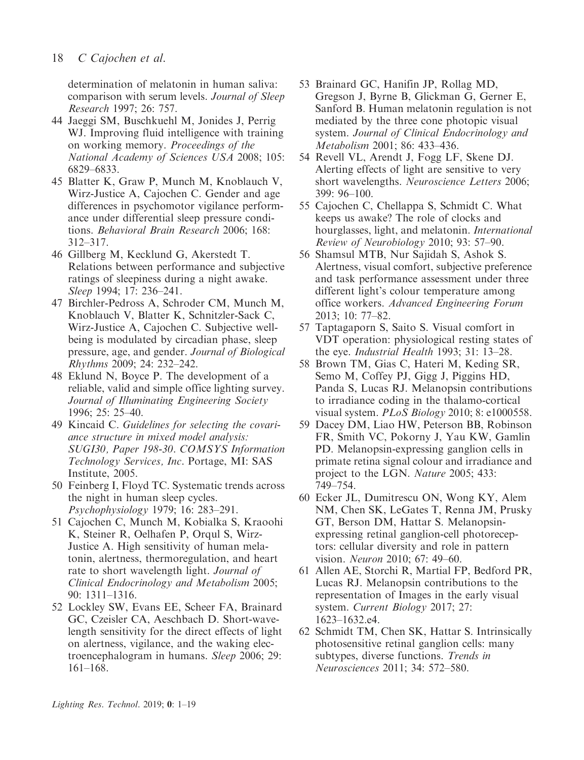determination of melatonin in human saliva: comparison with serum levels. Journal of Sleep Research 1997; 26: 757.

- 44 Jaeggi SM, Buschkuehl M, Jonides J, Perrig WJ. Improving fluid intelligence with training on working memory. Proceedings of the National Academy of Sciences USA 2008; 105: 6829–6833.
- 45 Blatter K, Graw P, Munch M, Knoblauch V, Wirz-Justice A, Cajochen C. Gender and age differences in psychomotor vigilance performance under differential sleep pressure conditions. Behavioral Brain Research 2006; 168: 312–317.
- 46 Gillberg M, Kecklund G, Akerstedt T. Relations between performance and subjective ratings of sleepiness during a night awake. Sleep 1994; 17: 236–241.
- 47 Birchler-Pedross A, Schroder CM, Munch M, Knoblauch V, Blatter K, Schnitzler-Sack C, Wirz-Justice A, Cajochen C. Subjective wellbeing is modulated by circadian phase, sleep pressure, age, and gender. Journal of Biological Rhythms 2009; 24: 232–242.
- 48 Eklund N, Boyce P. The development of a reliable, valid and simple office lighting survey. Journal of Illuminating Engineering Society 1996; 25: 25–40.
- 49 Kincaid C. Guidelines for selecting the covariance structure in mixed model analysis: SUGI30, Paper 198-30. COMSYS Information Technology Services, Inc. Portage, MI: SAS Institute, 2005.
- 50 Feinberg I, Floyd TC. Systematic trends across the night in human sleep cycles. Psychophysiology 1979; 16: 283–291.
- 51 Cajochen C, Munch M, Kobialka S, Kraoohi K, Steiner R, Oelhafen P, Orqul S, Wirz-Justice A. High sensitivity of human melatonin, alertness, thermoregulation, and heart rate to short wavelength light. Journal of Clinical Endocrinology and Metabolism 2005; 90: 1311–1316.
- 52 Lockley SW, Evans EE, Scheer FA, Brainard GC, Czeisler CA, Aeschbach D. Short-wavelength sensitivity for the direct effects of light on alertness, vigilance, and the waking electroencephalogram in humans. Sleep 2006; 29: 161–168.
- 53 Brainard GC, Hanifin JP, Rollag MD, Gregson J, Byrne B, Glickman G, Gerner E, Sanford B. Human melatonin regulation is not mediated by the three cone photopic visual system. Journal of Clinical Endocrinology and Metabolism 2001; 86: 433–436.
- 54 Revell VL, Arendt J, Fogg LF, Skene DJ. Alerting effects of light are sensitive to very short wavelengths. Neuroscience Letters 2006; 399: 96–100.
- 55 Cajochen C, Chellappa S, Schmidt C. What keeps us awake? The role of clocks and hourglasses, light, and melatonin. International Review of Neurobiology 2010; 93: 57–90.
- 56 Shamsul MTB, Nur Sajidah S, Ashok S. Alertness, visual comfort, subjective preference and task performance assessment under three different light's colour temperature among office workers. Advanced Engineering Forum 2013; 10: 77–82.
- 57 Taptagaporn S, Saito S. Visual comfort in VDT operation: physiological resting states of the eye. Industrial Health 1993; 31: 13–28.
- 58 Brown TM, Gias C, Hateri M, Keding SR, Semo M, Coffey PJ, Gigg J, Piggins HD, Panda S, Lucas RJ. Melanopsin contributions to irradiance coding in the thalamo-cortical visual system. PLoS Biology 2010; 8: e1000558.
- 59 Dacey DM, Liao HW, Peterson BB, Robinson FR, Smith VC, Pokorny J, Yau KW, Gamlin PD. Melanopsin-expressing ganglion cells in primate retina signal colour and irradiance and project to the LGN. Nature 2005; 433: 749–754.
- 60 Ecker JL, Dumitrescu ON, Wong KY, Alem NM, Chen SK, LeGates T, Renna JM, Prusky GT, Berson DM, Hattar S. Melanopsinexpressing retinal ganglion-cell photoreceptors: cellular diversity and role in pattern vision. Neuron 2010; 67: 49–60.
- 61 Allen AE, Storchi R, Martial FP, Bedford PR, Lucas RJ. Melanopsin contributions to the representation of Images in the early visual system. Current Biology 2017; 27: 1623–1632.e4.
- 62 Schmidt TM, Chen SK, Hattar S. Intrinsically photosensitive retinal ganglion cells: many subtypes, diverse functions. Trends in Neurosciences 2011; 34: 572–580.